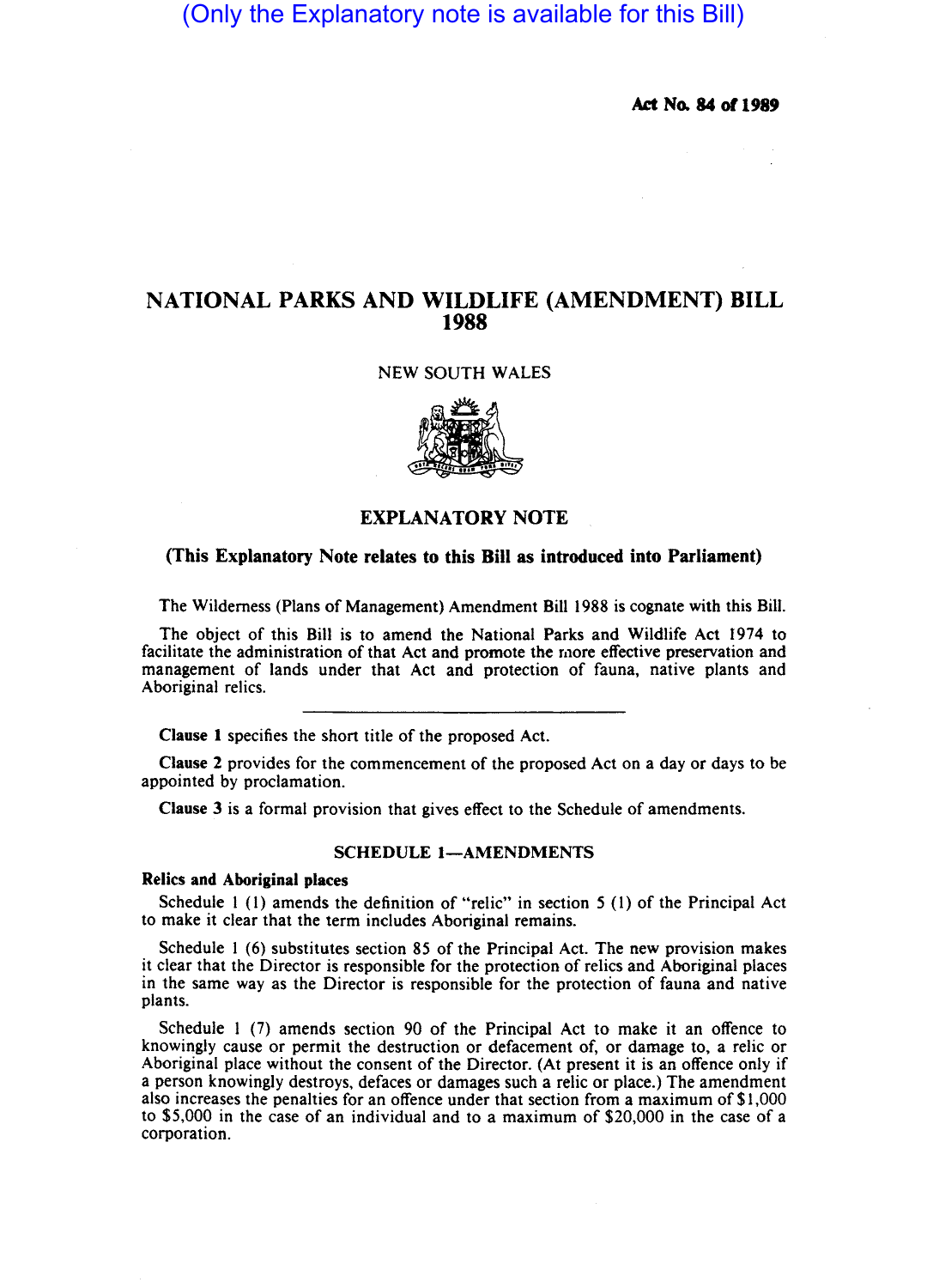# (Only the Explanatory note is available for this Bill)

Act No. 84 of 1989

## NATIONAL PARKS AND WILDLIFE (AMENDMENT) BILL 1988

## NEW SOUTH WALES



## EXPLANATORY NOTE

## (This Explanatory Note relates to this Bill as introduced into Parliament)

The Wilderness (Plans of Management) Amendment Bill 1988 is cognate with this Bill.

The object of this Bill is to amend the National Parks and Wildlife Act 1974 to facilitate the administration of that Act and promote the more effective preservation and management of lands under that Act and protection of fauna, native plants and Aboriginal relics.

Clause 1 specifies the short title of the proposed Act.

Clause 2 provides for the commencement of the proposed Act on a day or days to be appointed by proclamation.

Clause 3 is a formal provision that gives effect to the Schedule of amendments.

## SCHEDULE 1-AMENDMENTS

## Relics and Aboriginal places

Schedule I (I) amends the definition of "relic" in section 5 (I) of the Principal Act to make it clear that the term includes Aboriginal remains.

Schedule I (6) substitutes section 85 of the Principal Act. The new provision makes it clear that the Director is responsible for the protection of relics and Aboriginal places in the same way as the Director is responsible for the protection of fauna and native plants.

Schedule I (7) amends section 90 of the Principal Act to make it an offence to knowingly cause or permit the destruction or defacement of, or damage to, a relic or Aboriginal place without the consent of the Director. (At present it is an offence only if a person knowingly destroys. defaces or damages such a relic or place.) The amendment also increases the penalties for an offence under that section from a maximum of \$1.000 to \$5.000 in the case of an individual and to a maximum of \$20,000 in the case of a corporation.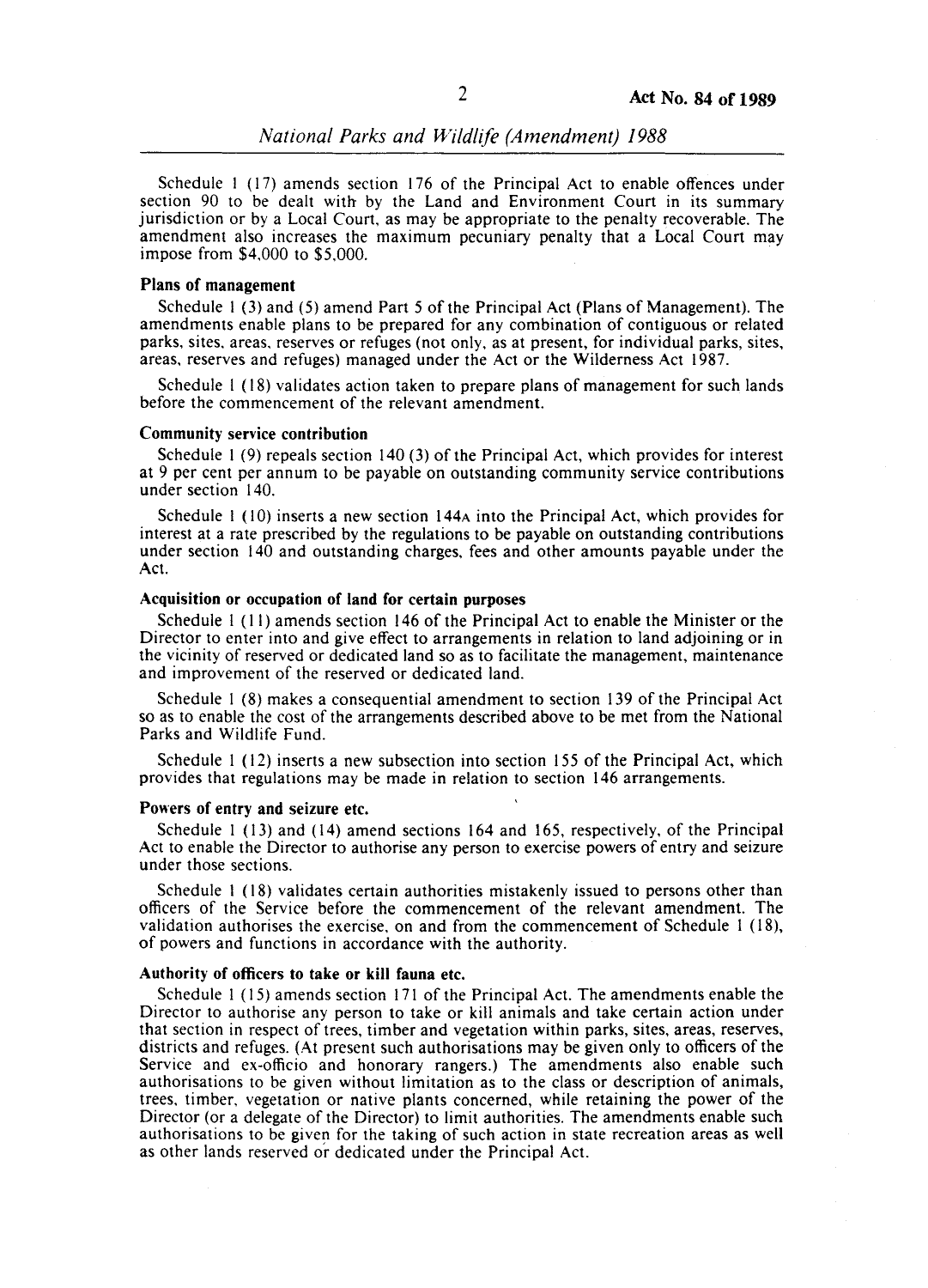*National Parks and Wildlife (Amendment) 1988* 

Schedule I (17) amends section 176 of the Principal Act to enable offences under section 90 to be dealt with by the Land and Environment Court in its summary jurisdiction or by a Local Court, as may be appropriate to the penalty recoverable. The amendment also increases the maximum pecuniary penalty that a Local Court may impose from \$4.000 to \$5.000. .

## Plans of management

Schedule I (3) and (5) amend Part 5 of the Principal Act (Plans of Management). The amendments enable plans to be prepared for any combination of contiguous or related parks. sites. areas. reserves or refuges (not only, as at present, for individual parks, sites, areas, reserves and refuges) managed under the Act or the Wilderness Act 1987.

Schedule I (18) validates action taken to prepare plans of management for such lands before the commencement of the relevant amendment.

#### Community service contribution

Schedule I (9) repeals section 140 (3) of the Principal Act, which provides for interest at 9 per cent per annum to be payable on outstanding community service contributions under section 140.

Schedule I (10) inserts a new section 144A into the Principal Act, which provides for interest at a rate prescribed by the regulations to be payable on outstanding contributions under section 140 and outstanding charges, fees and other amounts payable under the Act.

### Acquisition or occupation of land for certain purposes

Schedule I (11) amends section 146 of the Principal Act to enable the Minister or the Director to enter into and give effect to arrangements in relation to land adjoining or in the vicinity of reserved or dedicated land so as to facilitate the management, maintenance and improvement of the reserved or dedicated land.

Schedule I (8) makes a consequential amendment to section 139 of the Principal Act so as to enable the cost of the arrangements described above to be met from the National Parks and Wildlife Fund.

Schedule I (12) inserts a new subsection into section 155 of the Principal Act, which provides that regulations may be made in relation to section 146 arrangements.

#### Powers of entry and seizure etc.

Schedule I (13) and (14) amend sections 164 and 165, respectively, of the Principal Act to enable the Director to authorise any person to exercise powers of entry and seizure under those sections.

Schedule I (18) validates certain authorities mistakenly issued to persons other than officers of the Service before the commencement of the relevant amendment. The validation authorises the exercise, on and from the commencement of Schedule I (18), of powers and functions in accordance with the authority.

#### Authority of officers to take or kill fauna etc.

Schedule I (15) amends section 171 of the Principal Act. The amendments enable the Director to authorise any person to take or kill animals and take certain action under that section in respect of trees, timber and vegetation within parks, sites, areas, reserves, districts and refuges. (At present such authorisations may be given only to officers of the Service and ex-officio and honorary rangers.) The amendments also enable such authorisations to be given without limitation as to the class or description of animals, trees, timber. vegetation or native plants concerned, while retaining the power of the Director (or a delegate of the Director) to limit authorities. The amendments enable such authorisations to be given for the taking of such action in state recreation areas as well as other lands reserved or dedicated under the Principal Act.